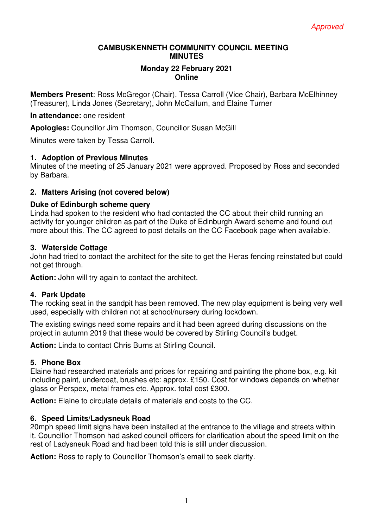### **CAMBUSKENNETH COMMUNITY COUNCIL MEETING MINUTES**

#### **Monday 22 February 2021 Online**

**Members Present**: Ross McGregor (Chair), Tessa Carroll (Vice Chair), Barbara McElhinney (Treasurer), Linda Jones (Secretary), John McCallum, and Elaine Turner

**In attendance:** one resident

**Apologies:** Councillor Jim Thomson, Councillor Susan McGill

Minutes were taken by Tessa Carroll.

## **1. Adoption of Previous Minutes**

Minutes of the meeting of 25 January 2021 were approved. Proposed by Ross and seconded by Barbara.

## **2. Matters Arising (not covered below)**

### **Duke of Edinburgh scheme query**

Linda had spoken to the resident who had contacted the CC about their child running an activity for younger children as part of the Duke of Edinburgh Award scheme and found out more about this. The CC agreed to post details on the CC Facebook page when available.

### **3. Waterside Cottage**

John had tried to contact the architect for the site to get the Heras fencing reinstated but could not get through.

**Action:** John will try again to contact the architect.

## **4. Park Update**

The rocking seat in the sandpit has been removed. The new play equipment is being very well used, especially with children not at school/nursery during lockdown.

The existing swings need some repairs and it had been agreed during discussions on the project in autumn 2019 that these would be covered by Stirling Council's budget.

**Action:** Linda to contact Chris Burns at Stirling Council.

## **5. Phone Box**

Elaine had researched materials and prices for repairing and painting the phone box, e.g. kit including paint, undercoat, brushes etc: approx. £150. Cost for windows depends on whether glass or Perspex, metal frames etc. Approx. total cost £300.

**Action:** Elaine to circulate details of materials and costs to the CC.

## **6. Speed Limits/Ladysneuk Road**

20mph speed limit signs have been installed at the entrance to the village and streets within it. Councillor Thomson had asked council officers for clarification about the speed limit on the rest of Ladysneuk Road and had been told this is still under discussion.

**Action:** Ross to reply to Councillor Thomson's email to seek clarity.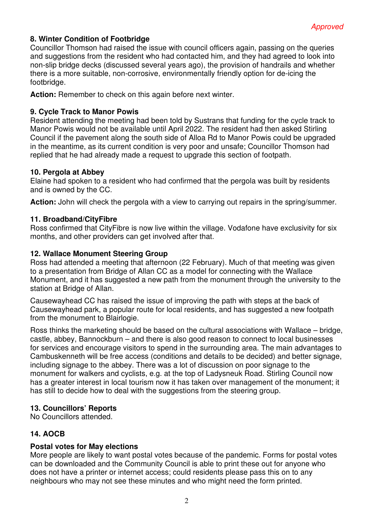## **8. Winter Condition of Footbridge**

Councillor Thomson had raised the issue with council officers again, passing on the queries and suggestions from the resident who had contacted him, and they had agreed to look into non-slip bridge decks (discussed several years ago), the provision of handrails and whether there is a more suitable, non-corrosive, environmentally friendly option for de-icing the footbridge.

**Action:** Remember to check on this again before next winter.

## **9. Cycle Track to Manor Powis**

Resident attending the meeting had been told by Sustrans that funding for the cycle track to Manor Powis would not be available until April 2022. The resident had then asked Stirling Council if the pavement along the south side of Alloa Rd to Manor Powis could be upgraded in the meantime, as its current condition is very poor and unsafe; Councillor Thomson had replied that he had already made a request to upgrade this section of footpath.

#### **10. Pergola at Abbey**

Elaine had spoken to a resident who had confirmed that the pergola was built by residents and is owned by the CC.

**Action:** John will check the pergola with a view to carrying out repairs in the spring/summer.

### **11. Broadband/CityFibre**

Ross confirmed that CityFibre is now live within the village. Vodafone have exclusivity for six months, and other providers can get involved after that.

### **12. Wallace Monument Steering Group**

Ross had attended a meeting that afternoon (22 February). Much of that meeting was given to a presentation from Bridge of Allan CC as a model for connecting with the Wallace Monument, and it has suggested a new path from the monument through the university to the station at Bridge of Allan.

Causewayhead CC has raised the issue of improving the path with steps at the back of Causewayhead park, a popular route for local residents, and has suggested a new footpath from the monument to Blairlogie.

Ross thinks the marketing should be based on the cultural associations with Wallace – bridge, castle, abbey, Bannockburn – and there is also good reason to connect to local businesses for services and encourage visitors to spend in the surrounding area. The main advantages to Cambuskenneth will be free access (conditions and details to be decided) and better signage, including signage to the abbey. There was a lot of discussion on poor signage to the monument for walkers and cyclists, e.g. at the top of Ladysneuk Road. Stirling Council now has a greater interest in local tourism now it has taken over management of the monument; it has still to decide how to deal with the suggestions from the steering group.

## **13. Councillors' Reports**

No Councillors attended.

## **14. AOCB**

#### **Postal votes for May elections**

More people are likely to want postal votes because of the pandemic. Forms for postal votes can be downloaded and the Community Council is able to print these out for anyone who does not have a printer or internet access; could residents please pass this on to any neighbours who may not see these minutes and who might need the form printed.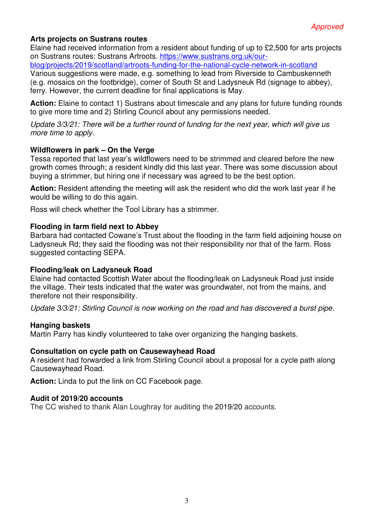## **Arts projects on Sustrans routes**

Elaine had received information from a resident about funding of up to £2,500 for arts projects on Sustrans routes: Sustrans Artroots. https://www.sustrans.org.uk/our-

blog/projects/2019/scotland/artroots-funding-for-the-national-cycle-network-in-scotland Various suggestions were made, e.g. something to lead from Riverside to Cambuskenneth (e.g. mosaics on the footbridge), corner of South St and Ladysneuk Rd (signage to abbey), ferry. However, the current deadline for final applications is May.

**Action:** Elaine to contact 1) Sustrans about timescale and any plans for future funding rounds to give more time and 2) Stirling Council about any permissions needed.

*Update 3/3/21: There will be a further round of funding for the next year, which will give us more time to apply.* 

### **Wildflowers in park – On the Verge**

Tessa reported that last year's wildflowers need to be strimmed and cleared before the new growth comes through; a resident kindly did this last year. There was some discussion about buying a strimmer, but hiring one if necessary was agreed to be the best option.

**Action:** Resident attending the meeting will ask the resident who did the work last year if he would be willing to do this again.

Ross will check whether the Tool Library has a strimmer.

### **Flooding in farm field next to Abbey**

Barbara had contacted Cowane's Trust about the flooding in the farm field adjoining house on Ladysneuk Rd; they said the flooding was not their responsibility nor that of the farm. Ross suggested contacting SEPA.

## **Flooding/leak on Ladysneuk Road**

Elaine had contacted Scottish Water about the flooding/leak on Ladysneuk Road just inside the village. Their tests indicated that the water was groundwater, not from the mains, and therefore not their responsibility.

*Update 3/3/21: Stirling Council is now working on the road and has discovered a burst pipe.* 

#### **Hanging baskets**

Martin Parry has kindly volunteered to take over organizing the hanging baskets.

#### **Consultation on cycle path on Causewayhead Road**

A resident had forwarded a link from Stirling Council about a proposal for a cycle path along Causewayhead Road.

**Action:** Linda to put the link on CC Facebook page.

#### **Audit of 2019/20 accounts**

The CC wished to thank Alan Loughray for auditing the 2019/20 accounts.